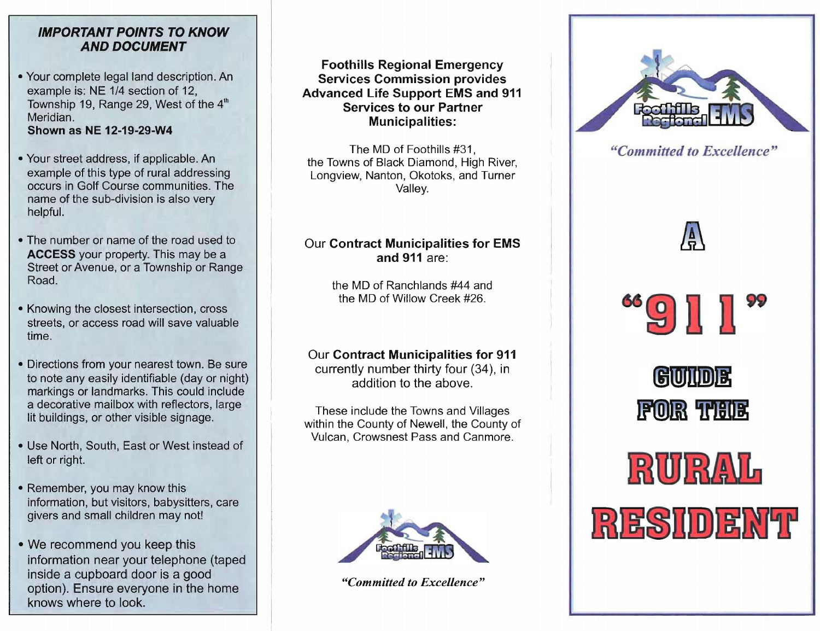#### **IMPORTANT POINTS TO KNOW AND DOCUMENT**

- Your complete legal land description. An example is: NE 1/4 section of 12, Township 19, Range 29, West of the  $4<sup>th</sup>$ Meridian. **Shown as NE 12-19-29-W4**
- Your street address, if applicable. An example of this type of rural addressing occurs in Golf Course communities. The name of the sub-division is also very helpful.
- The number or name of the road used to **ACCESS** your property. This may be a Street or Avenue, or a Township or Range Road.
- Knowing the closest intersection, cross streets, or access road will save valuable time.
- Directions from your nearest town. Be sure to note any easily identifiable (day or night) markings or landmarks. This could include a decorative mailbox with reflectors, large lit buildings, or other visible signage.
- Use North, South, East or West instead of left or right.
- Remember, you may know this information, but visitors, babysitters, care givers and small children may not!
- We recommend you keep this information near your telephone (taped inside a cupboard door is a good option). Ensure everyone in the home knows where to look.

**Foothills Regional Emergency Services Commission provides Advanced Life Support EMS and 911 Services to our Partner Municipalities:** 

The MD of Foothills #31, the Towns of Black Diamond, High River, Longview, Nanton, Okotoks, and Turner Valley.

## Our **Contract Municipalities for EMS and 911** are:

the MD of Ranchlands #44 and the MD of Willow Creek #26.

### Our **Contract Municipalities for 911**

currently number thirty four (34), in addition to the above.

These include the Towns and Villages within the County of Newell, the County of Vulcan, Crowsnest Pass and Canmore.



*"Committed to Excellence"* 



*"Committed to Excellence"* 

"9月1"

/a<br>1





RESIDENT